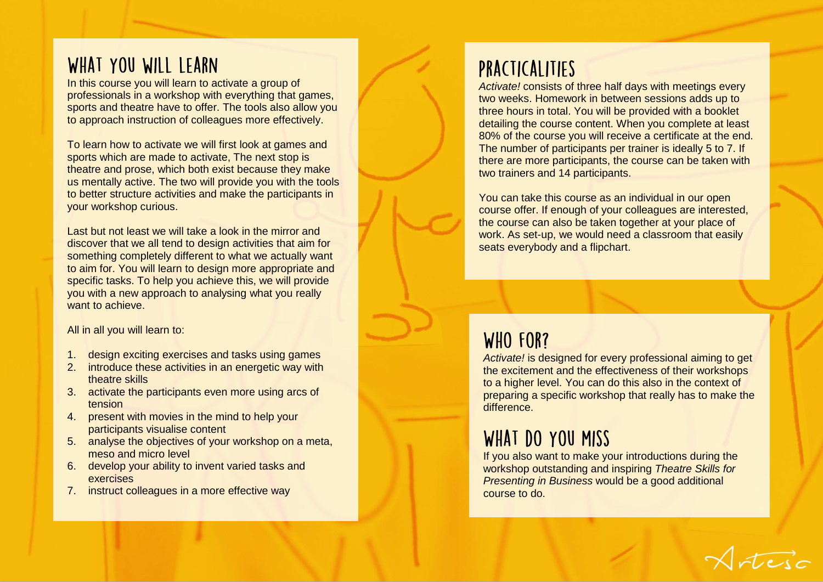### WHAT YOU WILL LEARN

In this course you will learn to activate a group of professionals in a workshop with everything that games, sports and theatre have to offer. The tools also allow you to approach instruction of colleagues more effectively.

To learn how to activate we will first look at games and sports which are made to activate, The next stop is theatre and prose, which both exist because they make us mentally active . The two will provide you with the tools to better structure activities and make the participants in your workshop curious.

Last but not least we will take a look in the mirror and discover that we all tend to design activities that aim for something completely different to what we actually want to aim for. You will learn to design more appropriate and specific tasks. To help you achieve this, we will provide you with a new approach to analysing what you really want to achieve.

All in all you will learn to:

- 1. design exciting exercises and tasks using games
- 2. introduce these activities in an energetic way with theatre skills
- 3. activate the participants even more using arcs of tension
- 4. present with movies in the mind to help your participants visualise content
- 5. analyse the objectives of your workshop on a meta, meso and micro level
- 6. develop your ability to invent varied tasks and exercises
- 7. instruct colleagues in a more effective way

# PRACTICALITIES

*Activate !* consists of three half days with meetings every two weeks. Homework in between sessions adds up to three hours in total. You will be provided with a booklet detailing the course content. When you complete at least 80% of the course you will receive a certificate at the end. The number of participants per trainer is ideally 5 to 7. If there are more participants, the course can be taken with two trainers and 14 participants.

You can take this course as an individual in our open course offer. If enough of your colleagues are interested, the course can also be taken together at your place of work. As set-up, we would need a classroom that easily seats everybody and a flipchart.

# WHO FOR?

*Activate!* is designed for every professional aiming to get the excitement and the effectiveness of their workshops to a higher level. You can do this also in the context of preparing a specific workshop that really has to make the difference.

# WHAT DO YOU MISS

If you also want to make your introductions during the workshop outstanding and inspiring *Theatre Skills for Presenting in Business* would be a good additional course to do.